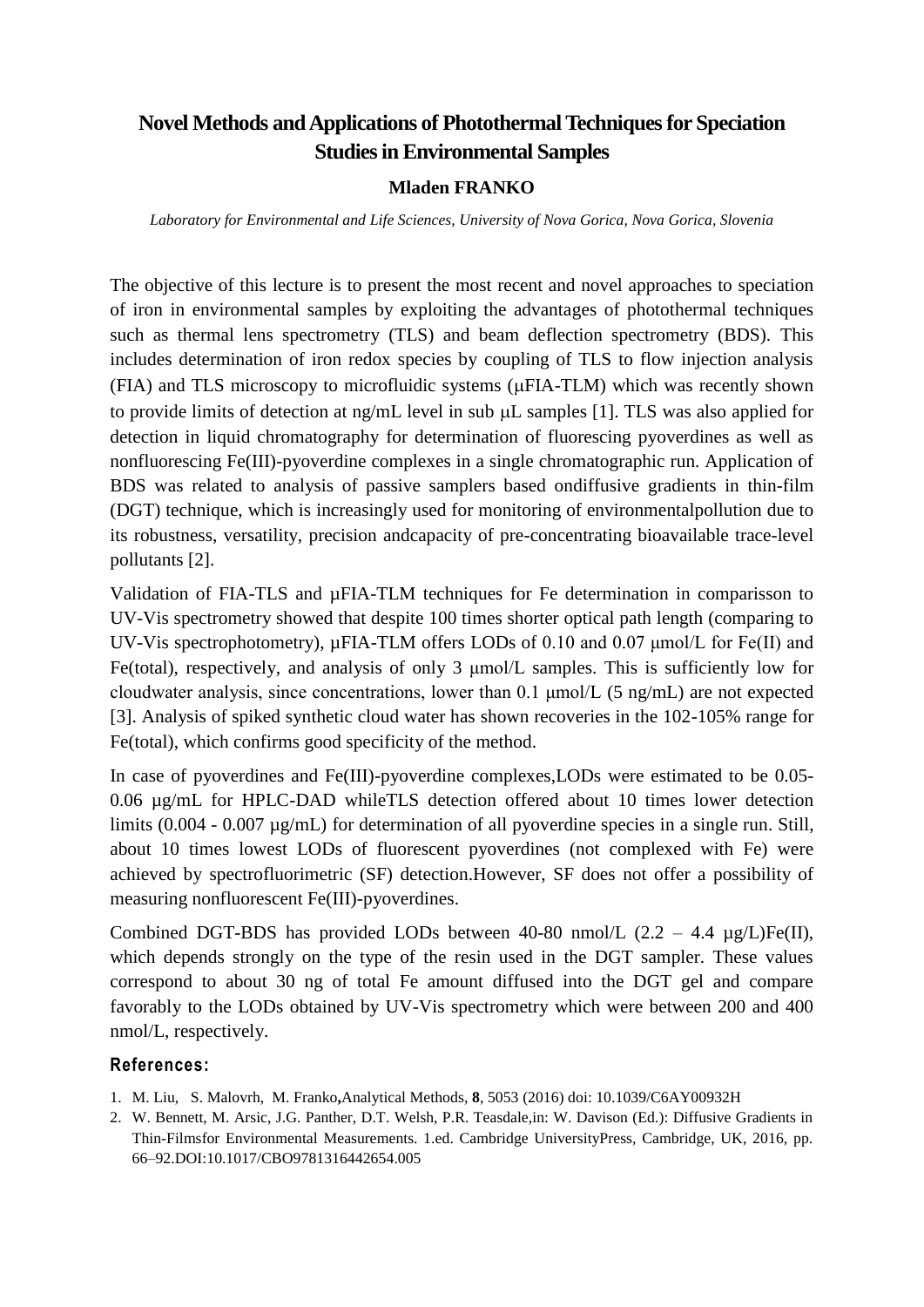## **Novel Methods and Applications of Photothermal Techniques for Speciation Studies in Environmental Samples**

## **Mladen FRANKO**

*Laboratory for Environmental and Life Sciences, University of Nova Gorica, Nova Gorica, Slovenia*

The objective of this lecture is to present the most recent and novel approaches to speciation of iron in environmental samples by exploiting the advantages of photothermal techniques such as thermal lens spectrometry (TLS) and beam deflection spectrometry (BDS). This includes determination of iron redox species by coupling of TLS to flow injection analysis (FIA) and TLS microscopy to microfluidic systems (FIA-TLM) which was recently shown to provide limits of detection at  $ng/mL$  level in sub  $µL$  samples [1]. TLS was also applied for detection in liquid chromatography for determination of fluorescing pyoverdines as well as nonfluorescing Fe(III)-pyoverdine complexes in a single chromatographic run. Application of BDS was related to analysis of passive samplers based ondiffusive gradients in thin-film (DGT) technique, which is increasingly used for monitoring of environmentalpollution due to its robustness, versatility, precision andcapacity of pre-concentrating bioavailable trace-level pollutants [2].

Validation of FIA-TLS and µFIA-TLM techniques for Fe determination in comparisson to UV-Vis spectrometry showed that despite 100 times shorter optical path length (comparing to UV-Vis spectrophotometry),  $\mu$ FIA-TLM offers LODs of 0.10 and 0.07  $\mu$ mol/L for Fe(II) and Fe(total), respectively, and analysis of only 3 μmol/L samples. This is sufficiently low for cloudwater analysis, since concentrations, lower than 0.1 μmol/L (5 ng/mL) are not expected [3]. Analysis of spiked synthetic cloud water has shown recoveries in the 102-105% range for Fe(total), which confirms good specificity of the method.

In case of pyoverdines and Fe(III)-pyoverdine complexes,LODs were estimated to be 0.05- 0.06 µg/mL for HPLC-DAD whileTLS detection offered about 10 times lower detection limits (0.004 - 0.007  $\mu$ g/mL) for determination of all pyoverdine species in a single run. Still, about 10 times lowest LODs of fluorescent pyoverdines (not complexed with Fe) were achieved by spectrofluorimetric (SF) detection.However, SF does not offer a possibility of measuring nonfluorescent Fe(III)-pyoverdines.

Combined DGT-BDS has provided LODs between 40-80 nmol/L  $(2.2 - 4.4 \text{ µg/L})Fe(II)$ , which depends strongly on the type of the resin used in the DGT sampler. These values correspond to about 30 ng of total Fe amount diffused into the DGT gel and compare favorably to the LODs obtained by UV-Vis spectrometry which were between 200 and 400 nmol/L, respectively.

## **References:**

- 1. M. Liu, S. Malovrh, M. Franko**,**Analytical Methods, **8**, 5053 (2016) doi: 10.1039/C6AY00932H
- 2. W. Bennett, M. Arsic, J.G. Panther, D.T. Welsh, P.R. Teasdale,in: W. Davison (Ed.): Diffusive Gradients in Thin-Filmsfor Environmental Measurements. 1.ed. Cambridge UniversityPress, Cambridge, UK, 2016, pp. 66–92.DOI:10.1017/CBO9781316442654.005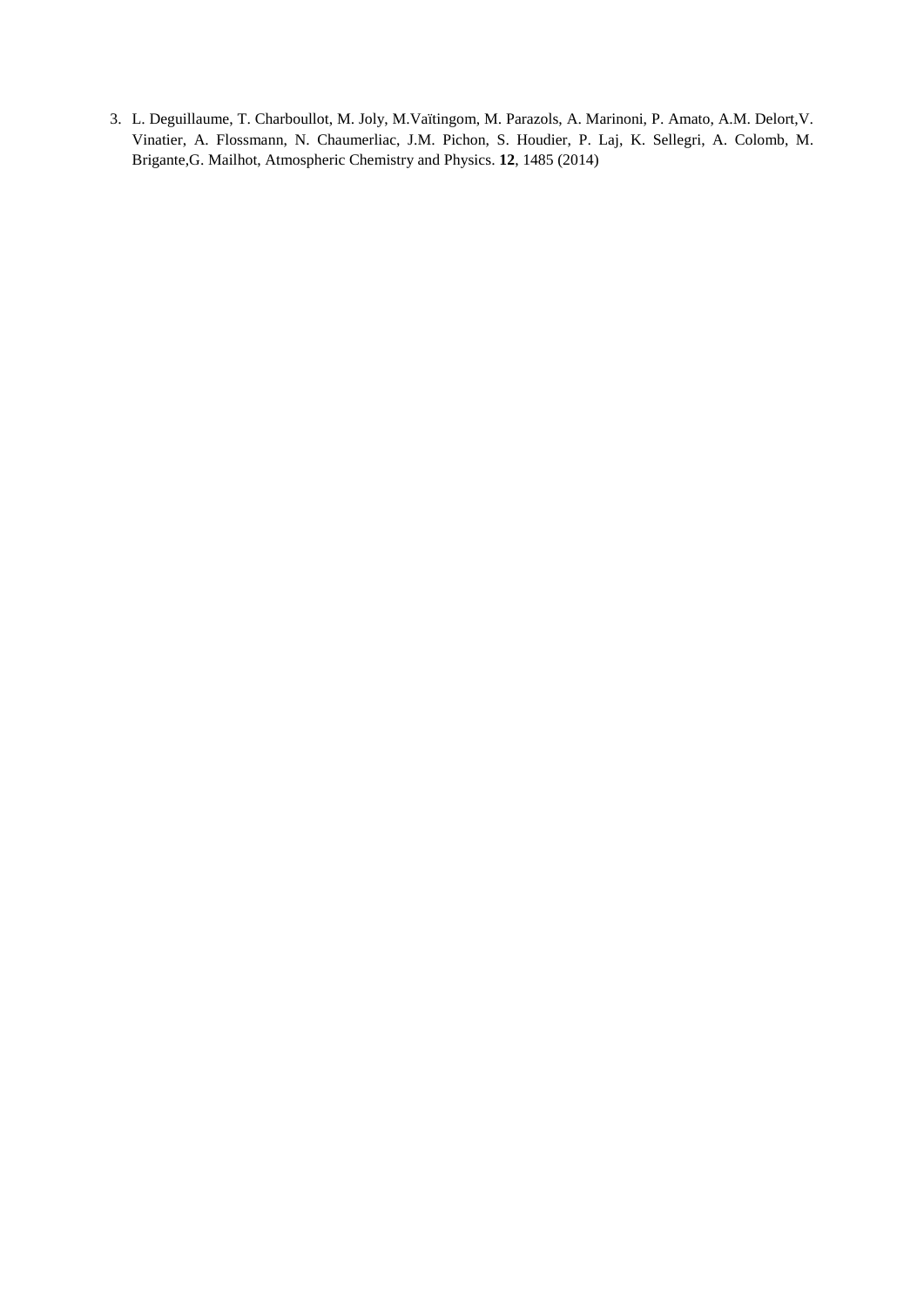3. L. Deguillaume, T. Charboullot, M. Joly, M.Vaïtingom, M. Parazols, A. Marinoni, P. Amato, A.M. Delort,V. Vinatier, A. Flossmann, N. Chaumerliac, J.M. Pichon, S. Houdier, P. Laj, K. Sellegri, A. Colomb, M. Brigante,G. Mailhot, Atmospheric Chemistry and Physics. **12**, 1485 (2014)